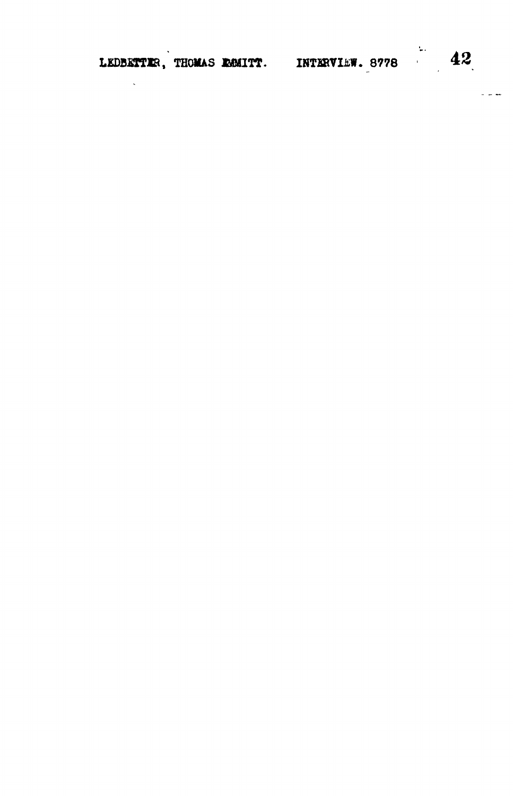$\mathbb{R}^2$ 

المحامر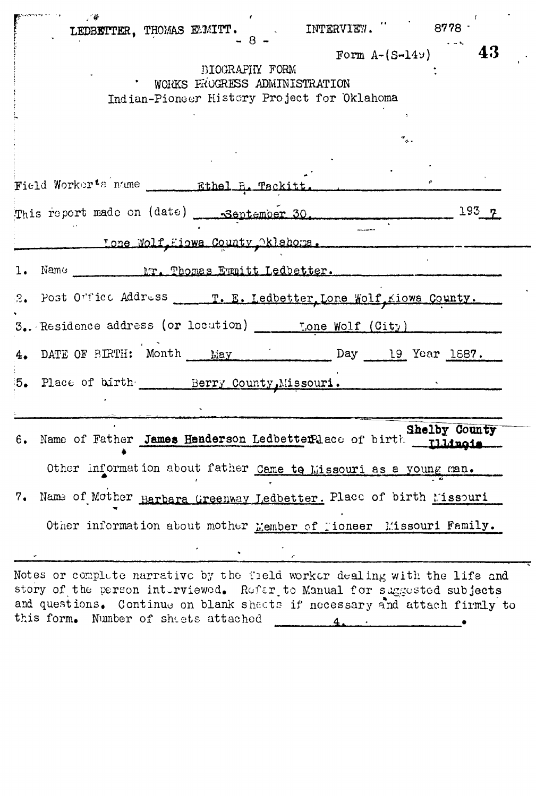Notes or complete narrative by the field worker dealing with the life and story of the person interviewed. Refer to Manual for suggested subjects and questions. Continue on blank sheets if necessary and attach firmly to this form. Number of sheets attached 4 , .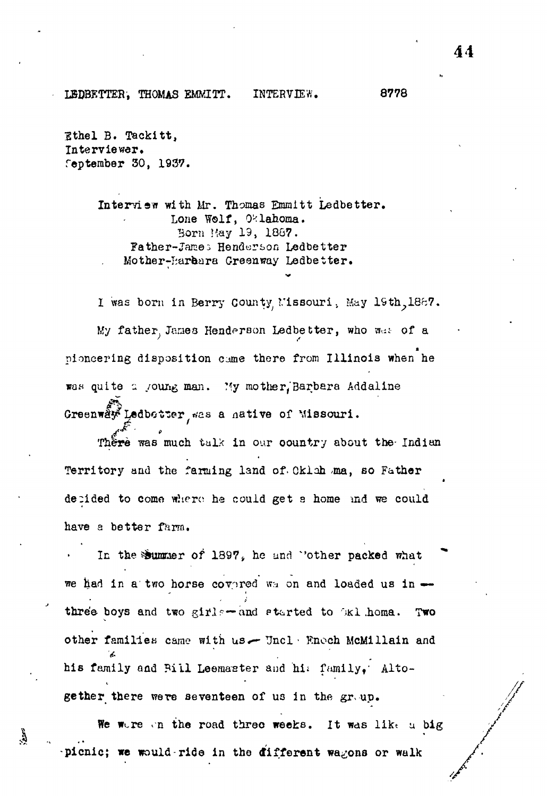Ethel B. Tackitt, Interviewer, fepteraber 30, 1937.

> Interview with Mr. Thomas Emmitt Ledbetter. Lone Wolf, Oklahoma. Born May 19, 1867. Father-James Henderson Ledbetter Mother-Barbara Greenway Ledbetter.

I was born in Berry County Missouri, May 19th, 1887. My father, James Henderson Ledbetter, who was of a *> <•* pioncering disposition came there from Illinois when he was quite a joung man. Ny mother Barbara Addaline quite *z.* young mail. ??y mother/Barbara Addaline Ledbotter was a native of Missouri.

There was much talk in our country about the Indian Territory and the farming land of Cklah ma, so Father decided to como where he could get s home ind we could have a better farm.

In the Summer of 1897, he and 'other packed what we had in a two horse covered wa on and loaded us in three boys and two girls— and started to Okl .homa. Two other families came with us- Uncl · Enoch McMillain and his family and Bill Leemaster and hi; family,' Altogether there were seventeen of us in the granp.

We were on the road three weeks. It was like a big -picnic; we would ride in the different wagons or walk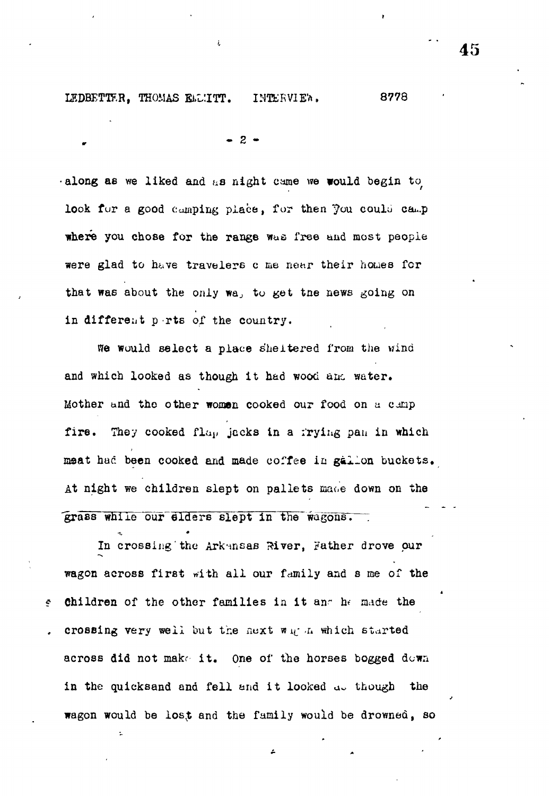LEDBETTER, THOMAS ELLITT. INTERVIEW, 8778

- 2 -

•along as we liked aad *KB* night came we would begin to look for a good camping place, for then you could camp where you chose for the range was free and most people were glad to have travelers c me near their homes for that was about the only wa, to get the news going on in different p rts of the country.

We would select a place sheltered from the wind and which looked as though it had wood and water. Mother and the other women cooked our food on a camp fire. They cooked flap jacks in a frying pan in which meat had been cooked and made coffee in gallon buckets. At night we children slept on pallets mace down on the grass while our elders slept in the wagons.

In crossing the Arkansas River, Father drove our wagon across first with all our family and s me of the  $\epsilon$  Children of the other families in it and he made the crossing very well but the next with which started across did not make it. One of the horses bogged down in the quicksand and fell and it looked  $d\omega$  though the wagon would be lost and the family would be drowned, so **45**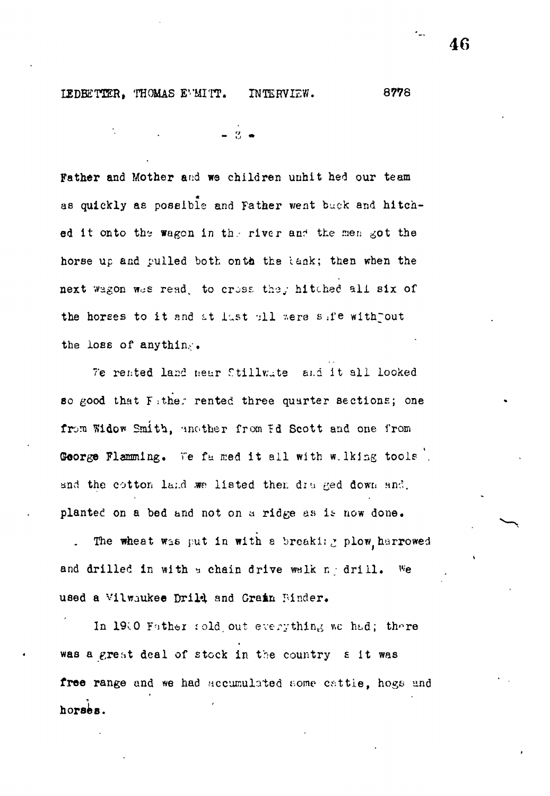## IEDBETTER. THOMAS EVMITT. INTERVIEW. 8778

 $\mathbb{Z}$ 

Father and Mother and we children unhit hed our team as ouickly as possible and Father went back and hitched it onto the wagon in the river and the men got the horse up and pulled both onth the lank; then when the next wagon was read, to cross they hitched all six of the horses to it and at last all were safe with out the loss of anything.

7e remted land mear Stillwate and it all looked so good that Father rented three quarter sections; one from Widow Smith, another from Ed Scott and one from George Flamming. We famed it all with wilking tools. and the cotton land we listed then dra ged down and. planted on a bed and not on a ridge as is now done.

The wheat was put in with a breaking plow harrowed and drilled in with a chain drive walk nedrill. We used a Vilwaukee Drild and Grain Binder.

In 1900 Father sold out everything we had; there was a great deal of stock in the country s it was free range and we had accumulated some cattie, hogs and horses.

46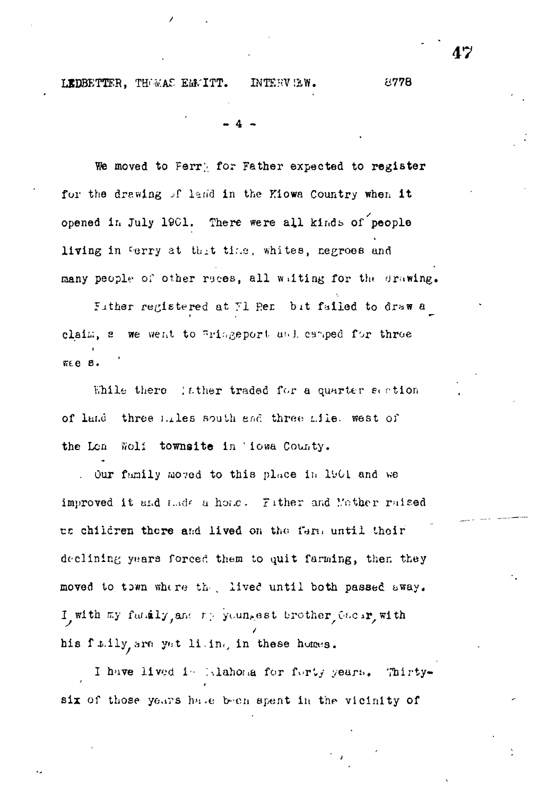LEDBETTER, THOMAS EMMITT. 8778 INTERVEN.

We moved to Ferry for Father expected to register for the drawing of land in the Kiowa Country when it opened in July 1901. There were all kinds of people living in Ferry at that time, whites, negroes and many people of other races, all waiting for the drawing.

Fither registered at 71 Per bit failed to draw a claim, a we went to Eringeport and camped for three REE B.

While there lather traded for a quarter section three Liles south and three Lile, west of of land the Lon Woli townsite in lowa County.

Our family moved to this place in 1961 and we improved it and made a hone. Father and Mather raised the children there and lived on the farm until their declining years forced them to quit farming, then they moved to town where the lived until both passed away. I with my fundly, and re-youngest brother, Goosr, with his faily, are yet lising in these homes.

I have lived in Itlahoma for forty years. Thirtysix of those years have been spent in the vicinity of